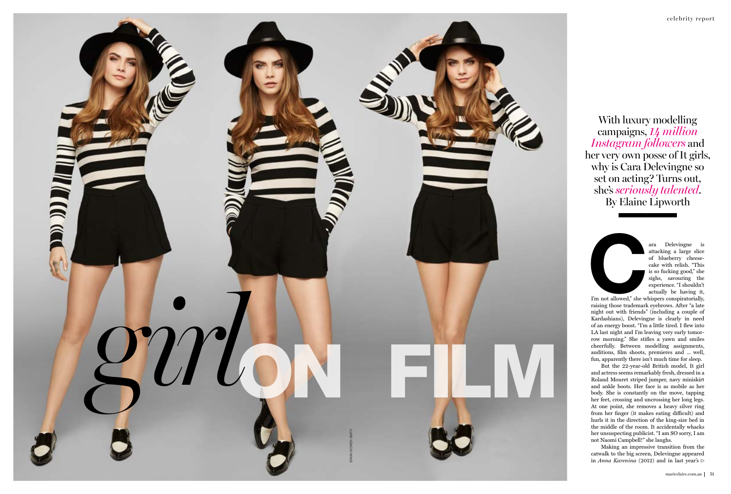

attacking a large slice of blueberry cheese cake with relish. "This is so fucking good," she sighs, savouring the experience. "I shouldn't actually be having it,

I'm not allowed," she whispers conspiratorially, raising those trademark eyebrows. After "a late night out with friends" (including a couple of Kardashians), Delevingne is clearly in need of an energy boost. "I'm a little tired. I flew into LA last night and I'm leaving very early tomorrow morning." She stifles a yawn and smiles cheerfully. Between modelling assignments, auditions, film shoots, premieres and ... well, fun, apparently there isn't much time for sleep.

Making an impressive transition from the catwalk to the big screen, Delevingne appeared in *Anna Karenina* (2012) and in last year's  $\triangleright$ 

But the 22-year-old British model, It girl and actress seems remarkably fresh, dressed in a Roland Mouret striped jumper, navy miniskirt and ankle boots. Her face is as mobile as her body. She is constantly on the move, tapping her feet, crossing and uncrossing her long legs. At one point, she removes a heavy silver ring from her finger (it makes eating difficult) and hurls it in the direction of the king-size bed in the middle of the room. It accidentally whacks her unsuspecting publicist. "I am SO sorry, I am not Naomi Campbell!" she laughs.



With luxury modelling campaigns, *14 million Instagram followers* and her very own posse of It girls, why is Cara Delevingne so set on acting? Turns out, she's *seriously talented*. By Elaine Lipworth